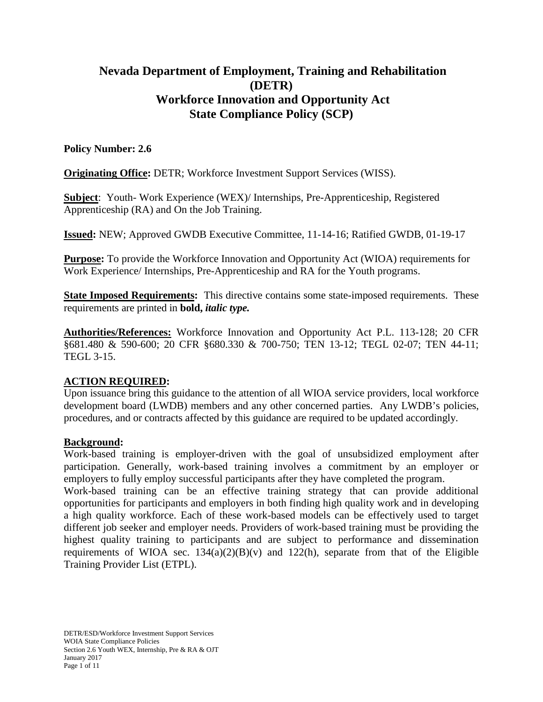# **Nevada Department of Employment, Training and Rehabilitation (DETR) Workforce Innovation and Opportunity Act State Compliance Policy (SCP)**

## **Policy Number: 2.6**

**Originating Office:** DETR; Workforce Investment Support Services (WISS).

**Subject**: Youth- Work Experience (WEX)/ Internships, Pre-Apprenticeship, Registered Apprenticeship (RA) and On the Job Training.

**Issued:** NEW; Approved GWDB Executive Committee, 11-14-16; Ratified GWDB, 01-19-17

**Purpose:** To provide the Workforce Innovation and Opportunity Act (WIOA) requirements for Work Experience/ Internships, Pre-Apprenticeship and RA for the Youth programs.

**State Imposed Requirements:** This directive contains some state-imposed requirements. These requirements are printed in **bold,** *italic type.*

**Authorities/References:** Workforce Innovation and Opportunity Act P.L. 113-128; 20 CFR §681.480 & 590-600; 20 CFR §680.330 & 700-750; TEN 13-12; TEGL 02-07; TEN 44-11; TEGL 3-15.

## **ACTION REQUIRED:**

Upon issuance bring this guidance to the attention of all WIOA service providers, local workforce development board (LWDB) members and any other concerned parties. Any LWDB's policies, procedures, and or contracts affected by this guidance are required to be updated accordingly.

## **Background:**

Work-based training is employer-driven with the goal of unsubsidized employment after participation. Generally, work-based training involves a commitment by an employer or employers to fully employ successful participants after they have completed the program.

Work-based training can be an effective training strategy that can provide additional opportunities for participants and employers in both finding high quality work and in developing a high quality workforce. Each of these work-based models can be effectively used to target different job seeker and employer needs. Providers of work-based training must be providing the highest quality training to participants and are subject to performance and dissemination requirements of WIOA sec.  $134(a)(2)(B)(v)$  and  $122(h)$ , separate from that of the Eligible Training Provider List (ETPL).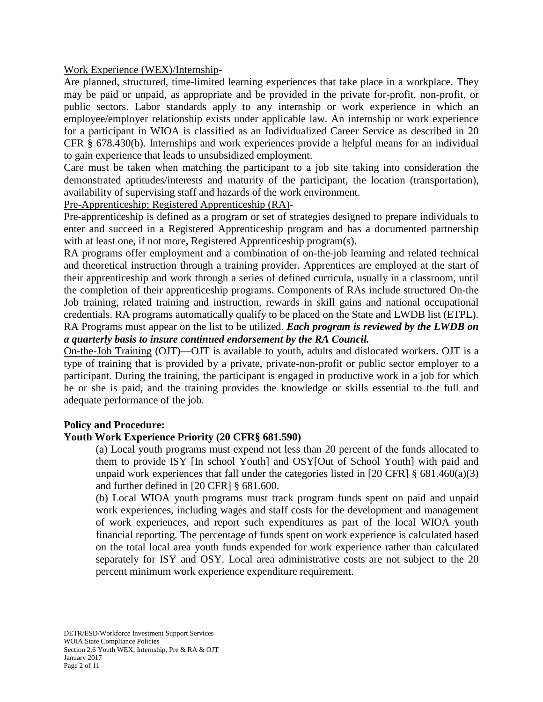### Work Experience (WEX)/Internship-

Are planned, structured, time-limited learning experiences that take place in a workplace. They may be paid or unpaid, as appropriate and be provided in the private for-profit, non-profit, or public sectors. Labor standards apply to any internship or work experience in which an employee/employer relationship exists under applicable law. An internship or work experience for a participant in WIOA is classified as an Individualized Career Service as described in 20 CFR § 678.430(b). Internships and work experiences provide a helpful means for an individual to gain experience that leads to unsubsidized employment.

Care must be taken when matching the participant to a job site taking into consideration the demonstrated aptitudes/interests and maturity of the participant, the location (transportation), availability of supervising staff and hazards of the work environment.

Pre-Apprenticeship; Registered Apprenticeship (RA)-

Pre-apprenticeship is defined as a program or set of strategies designed to prepare individuals to enter and succeed in a Registered Apprenticeship program and has a documented partnership with at least one, if not more, Registered Apprenticeship program(s).

RA programs offer employment and a combination of on-the-job learning and related technical and theoretical instruction through a training provider. Apprentices are employed at the start of their apprenticeship and work through a series of defined curricula, usually in a classroom, until the completion of their apprenticeship programs. Components of RAs include structured On-the Job training, related training and instruction, rewards in skill gains and national occupational credentials. RA programs automatically qualify to be placed on the State and LWDB list (ETPL). RA Programs must appear on the list to be utilized. *Each program is reviewed by the LWDB on a quarterly basis to insure continued endorsement by the RA Council.*

On-the-Job Training (OJT)—OJT is available to youth, adults and dislocated workers. OJT is a type of training that is provided by a private, private-non-profit or public sector employer to a participant. During the training, the participant is engaged in productive work in a job for which he or she is paid, and the training provides the knowledge or skills essential to the full and adequate performance of the job.

#### **Policy and Procedure:**

#### **Youth Work Experience Priority (20 CFR§ 681.590)**

(a) Local youth programs must expend not less than 20 percent of the funds allocated to them to provide ISY [In school Youth] and OSY[Out of School Youth] with paid and unpaid work experiences that fall under the categories listed in [20 CFR]  $\S$  681.460(a)(3) and further defined in [20 CFR] § 681.600.

(b) Local WIOA youth programs must track program funds spent on paid and unpaid work experiences, including wages and staff costs for the development and management of work experiences, and report such expenditures as part of the local WIOA youth financial reporting. The percentage of funds spent on work experience is calculated based on the total local area youth funds expended for work experience rather than calculated separately for ISY and OSY. Local area administrative costs are not subject to the 20 percent minimum work experience expenditure requirement.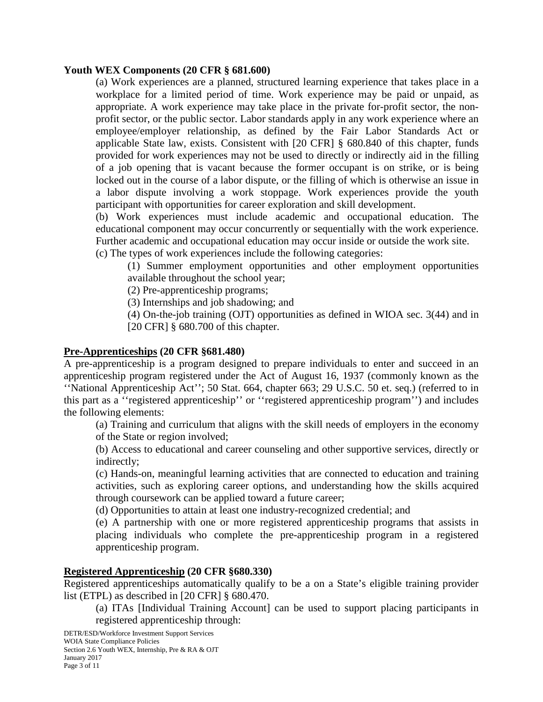### **Youth WEX Components (20 CFR § 681.600)**

(a) Work experiences are a planned, structured learning experience that takes place in a workplace for a limited period of time. Work experience may be paid or unpaid, as appropriate. A work experience may take place in the private for-profit sector, the nonprofit sector, or the public sector. Labor standards apply in any work experience where an employee/employer relationship, as defined by the Fair Labor Standards Act or applicable State law, exists. Consistent with [20 CFR] § 680.840 of this chapter, funds provided for work experiences may not be used to directly or indirectly aid in the filling of a job opening that is vacant because the former occupant is on strike, or is being locked out in the course of a labor dispute, or the filling of which is otherwise an issue in a labor dispute involving a work stoppage. Work experiences provide the youth participant with opportunities for career exploration and skill development.

(b) Work experiences must include academic and occupational education. The educational component may occur concurrently or sequentially with the work experience. Further academic and occupational education may occur inside or outside the work site.

(c) The types of work experiences include the following categories:

(1) Summer employment opportunities and other employment opportunities available throughout the school year;

(2) Pre-apprenticeship programs;

(3) Internships and job shadowing; and

(4) On-the-job training (OJT) opportunities as defined in WIOA sec. 3(44) and in [20 CFR] § 680.700 of this chapter.

## **Pre-Apprenticeships (20 CFR §681.480)**

A pre-apprenticeship is a program designed to prepare individuals to enter and succeed in an apprenticeship program registered under the Act of August 16, 1937 (commonly known as the ''National Apprenticeship Act''; 50 Stat. 664, chapter 663; 29 U.S.C. 50 et. seq.) (referred to in this part as a ''registered apprenticeship'' or ''registered apprenticeship program'') and includes the following elements:

(a) Training and curriculum that aligns with the skill needs of employers in the economy of the State or region involved;

(b) Access to educational and career counseling and other supportive services, directly or indirectly;

(c) Hands-on, meaningful learning activities that are connected to education and training activities, such as exploring career options, and understanding how the skills acquired through coursework can be applied toward a future career;

(d) Opportunities to attain at least one industry-recognized credential; and

(e) A partnership with one or more registered apprenticeship programs that assists in placing individuals who complete the pre-apprenticeship program in a registered apprenticeship program.

#### **Registered Apprenticeship (20 CFR §680.330)**

Registered apprenticeships automatically qualify to be a on a State's eligible training provider list (ETPL) as described in [20 CFR] § 680.470.

(a) ITAs [Individual Training Account] can be used to support placing participants in registered apprenticeship through: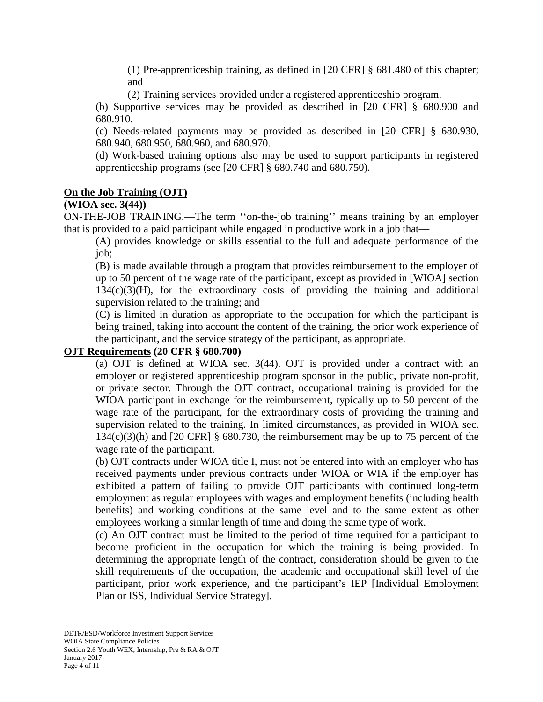(1) Pre-apprenticeship training, as defined in [20 CFR] § 681.480 of this chapter; and

(2) Training services provided under a registered apprenticeship program.

(b) Supportive services may be provided as described in [20 CFR] § 680.900 and 680.910.

(c) Needs-related payments may be provided as described in [20 CFR] § 680.930, 680.940, 680.950, 680.960, and 680.970.

(d) Work-based training options also may be used to support participants in registered apprenticeship programs (see [20 CFR] § 680.740 and 680.750).

### **On the Job Training (OJT)**

### **(WIOA sec. 3(44))**

ON-THE-JOB TRAINING.—The term ''on-the-job training'' means training by an employer that is provided to a paid participant while engaged in productive work in a job that—

(A) provides knowledge or skills essential to the full and adequate performance of the job;

(B) is made available through a program that provides reimbursement to the employer of up to 50 percent of the wage rate of the participant, except as provided in [WIOA] section 134(c)(3)(H), for the extraordinary costs of providing the training and additional supervision related to the training; and

(C) is limited in duration as appropriate to the occupation for which the participant is being trained, taking into account the content of the training, the prior work experience of the participant, and the service strategy of the participant, as appropriate.

#### **OJT Requirements (20 CFR § 680.700)**

(a) OJT is defined at WIOA sec. 3(44). OJT is provided under a contract with an employer or registered apprenticeship program sponsor in the public, private non-profit, or private sector. Through the OJT contract, occupational training is provided for the WIOA participant in exchange for the reimbursement, typically up to 50 percent of the wage rate of the participant, for the extraordinary costs of providing the training and supervision related to the training. In limited circumstances, as provided in WIOA sec.  $134(c)(3)$ (h) and  $[20 \text{ CFR}]$  § 680.730, the reimbursement may be up to 75 percent of the wage rate of the participant.

(b) OJT contracts under WIOA title I, must not be entered into with an employer who has received payments under previous contracts under WIOA or WIA if the employer has exhibited a pattern of failing to provide OJT participants with continued long-term employment as regular employees with wages and employment benefits (including health benefits) and working conditions at the same level and to the same extent as other employees working a similar length of time and doing the same type of work.

(c) An OJT contract must be limited to the period of time required for a participant to become proficient in the occupation for which the training is being provided. In determining the appropriate length of the contract, consideration should be given to the skill requirements of the occupation, the academic and occupational skill level of the participant, prior work experience, and the participant's IEP [Individual Employment Plan or ISS, Individual Service Strategy].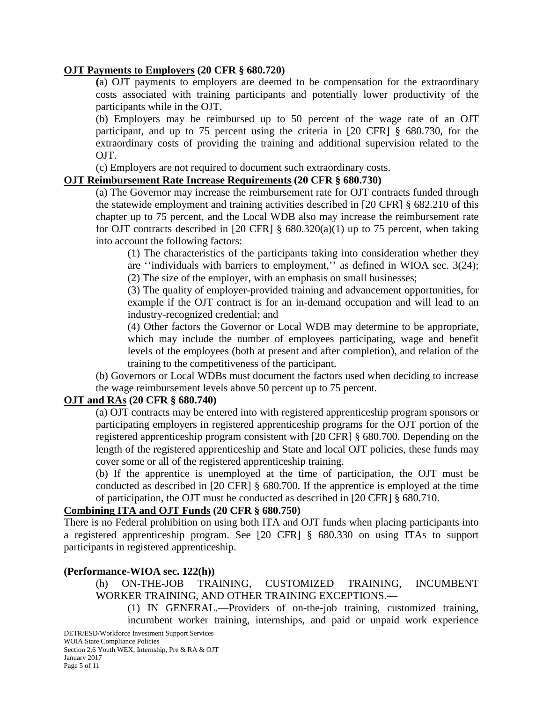### **OJT Payments to Employers (20 CFR § 680.720)**

**(**a) OJT payments to employers are deemed to be compensation for the extraordinary costs associated with training participants and potentially lower productivity of the participants while in the OJT.

(b) Employers may be reimbursed up to 50 percent of the wage rate of an OJT participant, and up to 75 percent using the criteria in [20 CFR] § 680.730, for the extraordinary costs of providing the training and additional supervision related to the OJT.

(c) Employers are not required to document such extraordinary costs.

#### **OJT Reimbursement Rate Increase Requirements (20 CFR § 680.730)**

(a) The Governor may increase the reimbursement rate for OJT contracts funded through the statewide employment and training activities described in [20 CFR] § 682.210 of this chapter up to 75 percent, and the Local WDB also may increase the reimbursement rate for OJT contracts described in  $[20 \text{ CFR}]$  § 680.320(a)(1) up to 75 percent, when taking into account the following factors:

(1) The characteristics of the participants taking into consideration whether they are ''individuals with barriers to employment,'' as defined in WIOA sec. 3(24); (2) The size of the employer, with an emphasis on small businesses;

(3) The quality of employer-provided training and advancement opportunities, for example if the OJT contract is for an in-demand occupation and will lead to an industry-recognized credential; and

(4) Other factors the Governor or Local WDB may determine to be appropriate, which may include the number of employees participating, wage and benefit levels of the employees (both at present and after completion), and relation of the training to the competitiveness of the participant.

(b) Governors or Local WDBs must document the factors used when deciding to increase the wage reimbursement levels above 50 percent up to 75 percent.

#### **OJT and RAs (20 CFR § 680.740)**

(a) OJT contracts may be entered into with registered apprenticeship program sponsors or participating employers in registered apprenticeship programs for the OJT portion of the registered apprenticeship program consistent with [20 CFR] § 680.700. Depending on the length of the registered apprenticeship and State and local OJT policies, these funds may cover some or all of the registered apprenticeship training.

(b) If the apprentice is unemployed at the time of participation, the OJT must be conducted as described in [20 CFR] § 680.700. If the apprentice is employed at the time of participation, the OJT must be conducted as described in [20 CFR] § 680.710.

#### **Combining ITA and OJT Funds (20 CFR § 680.750)**

There is no Federal prohibition on using both ITA and OJT funds when placing participants into a registered apprenticeship program. See [20 CFR] § 680.330 on using ITAs to support participants in registered apprenticeship.

#### **(Performance-WIOA sec. 122(h))**

(h) ON-THE-JOB TRAINING, CUSTOMIZED TRAINING, INCUMBENT WORKER TRAINING, AND OTHER TRAINING EXCEPTIONS.—

(1) IN GENERAL.—Providers of on-the-job training, customized training, incumbent worker training, internships, and paid or unpaid work experience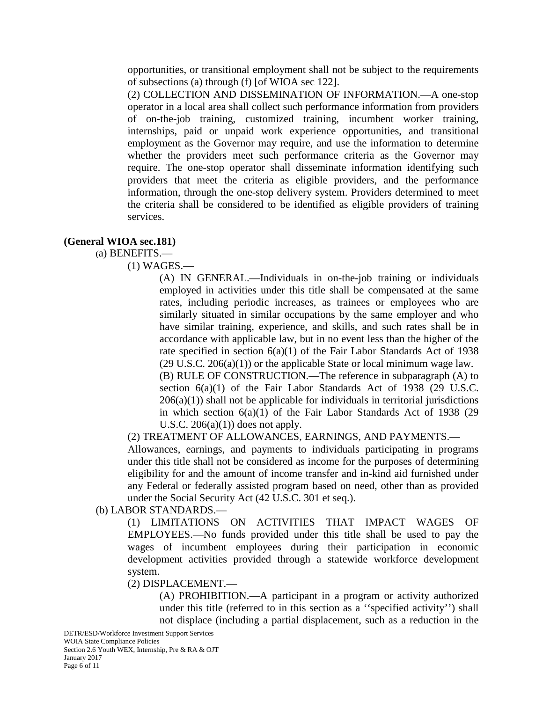opportunities, or transitional employment shall not be subject to the requirements of subsections (a) through (f) [of WIOA sec 122].

(2) COLLECTION AND DISSEMINATION OF INFORMATION.—A one-stop operator in a local area shall collect such performance information from providers of on-the-job training, customized training, incumbent worker training, internships, paid or unpaid work experience opportunities, and transitional employment as the Governor may require, and use the information to determine whether the providers meet such performance criteria as the Governor may require. The one-stop operator shall disseminate information identifying such providers that meet the criteria as eligible providers, and the performance information, through the one-stop delivery system. Providers determined to meet the criteria shall be considered to be identified as eligible providers of training services.

#### **(General WIOA sec.181)**

#### (a) BENEFITS.—

#### (1) WAGES.—

(A) IN GENERAL.—Individuals in on-the-job training or individuals employed in activities under this title shall be compensated at the same rates, including periodic increases, as trainees or employees who are similarly situated in similar occupations by the same employer and who have similar training, experience, and skills, and such rates shall be in accordance with applicable law, but in no event less than the higher of the rate specified in section  $6(a)(1)$  of the Fair Labor Standards Act of 1938  $(29 \text{ U.S.C. } 206(a)(1))$  or the applicable State or local minimum wage law. (B) RULE OF CONSTRUCTION.—The reference in subparagraph (A) to section  $6(a)(1)$  of the Fair Labor Standards Act of 1938 (29 U.S.C.  $206(a)(1)$ ) shall not be applicable for individuals in territorial jurisdictions in which section 6(a)(1) of the Fair Labor Standards Act of 1938 (29 U.S.C.  $206(a)(1)$  does not apply.

(2) TREATMENT OF ALLOWANCES, EARNINGS, AND PAYMENTS.—

Allowances, earnings, and payments to individuals participating in programs under this title shall not be considered as income for the purposes of determining eligibility for and the amount of income transfer and in-kind aid furnished under any Federal or federally assisted program based on need, other than as provided under the Social Security Act (42 U.S.C. 301 et seq.).

#### (b) LABOR STANDARDS.—

(1) LIMITATIONS ON ACTIVITIES THAT IMPACT WAGES OF EMPLOYEES.—No funds provided under this title shall be used to pay the wages of incumbent employees during their participation in economic development activities provided through a statewide workforce development system.

#### (2) DISPLACEMENT.—

(A) PROHIBITION.—A participant in a program or activity authorized under this title (referred to in this section as a ''specified activity'') shall not displace (including a partial displacement, such as a reduction in the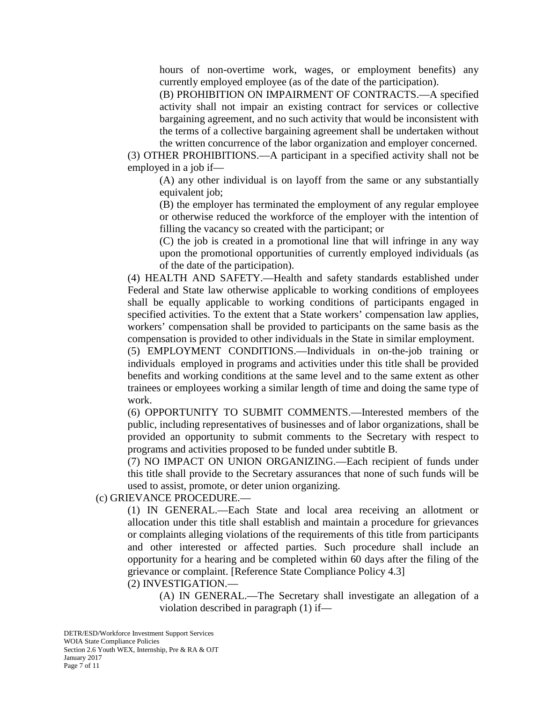hours of non-overtime work, wages, or employment benefits) any currently employed employee (as of the date of the participation).

(B) PROHIBITION ON IMPAIRMENT OF CONTRACTS.—A specified activity shall not impair an existing contract for services or collective bargaining agreement, and no such activity that would be inconsistent with the terms of a collective bargaining agreement shall be undertaken without the written concurrence of the labor organization and employer concerned.

(3) OTHER PROHIBITIONS.—A participant in a specified activity shall not be employed in a job if—

(A) any other individual is on layoff from the same or any substantially equivalent job;

(B) the employer has terminated the employment of any regular employee or otherwise reduced the workforce of the employer with the intention of filling the vacancy so created with the participant; or

(C) the job is created in a promotional line that will infringe in any way upon the promotional opportunities of currently employed individuals (as of the date of the participation).

(4) HEALTH AND SAFETY.—Health and safety standards established under Federal and State law otherwise applicable to working conditions of employees shall be equally applicable to working conditions of participants engaged in specified activities. To the extent that a State workers' compensation law applies, workers' compensation shall be provided to participants on the same basis as the compensation is provided to other individuals in the State in similar employment.

(5) EMPLOYMENT CONDITIONS.—Individuals in on-the-job training or individuals employed in programs and activities under this title shall be provided benefits and working conditions at the same level and to the same extent as other trainees or employees working a similar length of time and doing the same type of work.

(6) OPPORTUNITY TO SUBMIT COMMENTS.—Interested members of the public, including representatives of businesses and of labor organizations, shall be provided an opportunity to submit comments to the Secretary with respect to programs and activities proposed to be funded under subtitle B.

(7) NO IMPACT ON UNION ORGANIZING.—Each recipient of funds under this title shall provide to the Secretary assurances that none of such funds will be used to assist, promote, or deter union organizing.

(c) GRIEVANCE PROCEDURE.—

(1) IN GENERAL.—Each State and local area receiving an allotment or allocation under this title shall establish and maintain a procedure for grievances or complaints alleging violations of the requirements of this title from participants and other interested or affected parties. Such procedure shall include an opportunity for a hearing and be completed within 60 days after the filing of the grievance or complaint. [Reference State Compliance Policy 4.3]

(2) INVESTIGATION.—

(A) IN GENERAL.—The Secretary shall investigate an allegation of a violation described in paragraph (1) if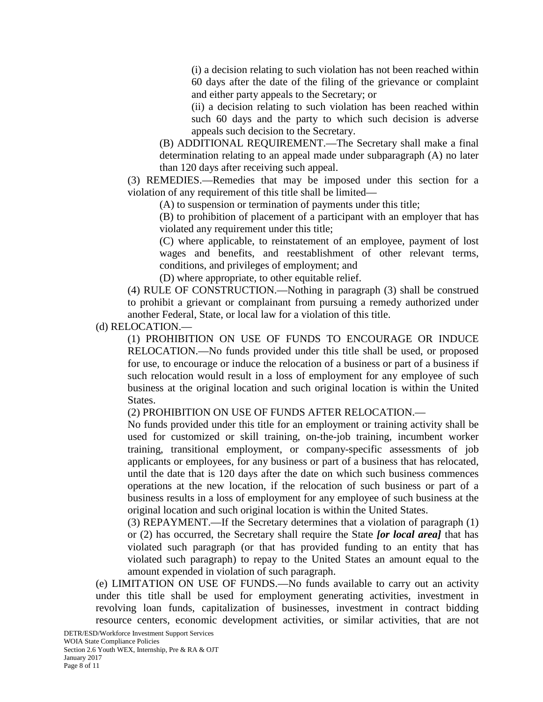(i) a decision relating to such violation has not been reached within 60 days after the date of the filing of the grievance or complaint and either party appeals to the Secretary; or

(ii) a decision relating to such violation has been reached within such 60 days and the party to which such decision is adverse appeals such decision to the Secretary.

(B) ADDITIONAL REQUIREMENT.—The Secretary shall make a final determination relating to an appeal made under subparagraph (A) no later than 120 days after receiving such appeal.

(3) REMEDIES.—Remedies that may be imposed under this section for a violation of any requirement of this title shall be limited—

(A) to suspension or termination of payments under this title;

(B) to prohibition of placement of a participant with an employer that has violated any requirement under this title;

(C) where applicable, to reinstatement of an employee, payment of lost wages and benefits, and reestablishment of other relevant terms, conditions, and privileges of employment; and

(D) where appropriate, to other equitable relief.

(4) RULE OF CONSTRUCTION.—Nothing in paragraph (3) shall be construed to prohibit a grievant or complainant from pursuing a remedy authorized under another Federal, State, or local law for a violation of this title.

(d) RELOCATION.—

(1) PROHIBITION ON USE OF FUNDS TO ENCOURAGE OR INDUCE RELOCATION.—No funds provided under this title shall be used, or proposed for use, to encourage or induce the relocation of a business or part of a business if such relocation would result in a loss of employment for any employee of such business at the original location and such original location is within the United States.

(2) PROHIBITION ON USE OF FUNDS AFTER RELOCATION.—

No funds provided under this title for an employment or training activity shall be used for customized or skill training, on-the-job training, incumbent worker training, transitional employment, or company-specific assessments of job applicants or employees, for any business or part of a business that has relocated, until the date that is 120 days after the date on which such business commences operations at the new location, if the relocation of such business or part of a business results in a loss of employment for any employee of such business at the original location and such original location is within the United States.

(3) REPAYMENT.—If the Secretary determines that a violation of paragraph (1) or (2) has occurred, the Secretary shall require the State *[or local area]* that has violated such paragraph (or that has provided funding to an entity that has violated such paragraph) to repay to the United States an amount equal to the amount expended in violation of such paragraph.

(e) LIMITATION ON USE OF FUNDS.—No funds available to carry out an activity under this title shall be used for employment generating activities, investment in revolving loan funds, capitalization of businesses, investment in contract bidding resource centers, economic development activities, or similar activities, that are not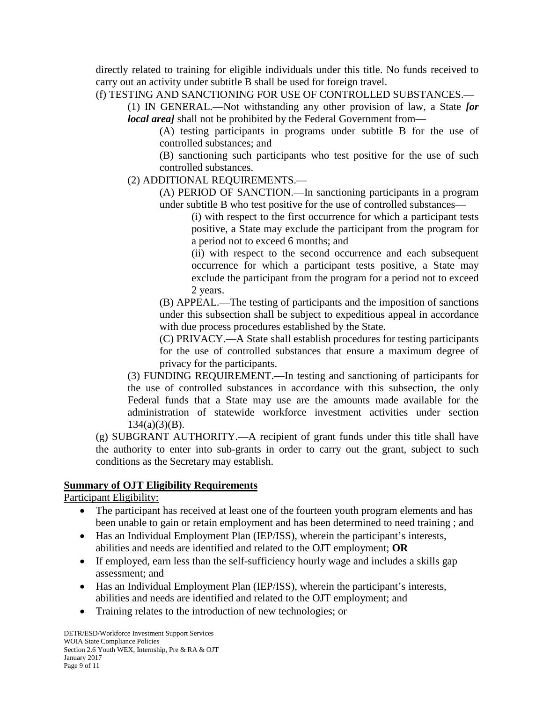directly related to training for eligible individuals under this title. No funds received to carry out an activity under subtitle B shall be used for foreign travel.

(f) TESTING AND SANCTIONING FOR USE OF CONTROLLED SUBSTANCES.—

(1) IN GENERAL.—Not withstanding any other provision of law, a State *[or local area]* shall not be prohibited by the Federal Government from—

(A) testing participants in programs under subtitle B for the use of controlled substances; and

(B) sanctioning such participants who test positive for the use of such controlled substances.

(2) ADDITIONAL REQUIREMENTS.—

(A) PERIOD OF SANCTION.—In sanctioning participants in a program under subtitle B who test positive for the use of controlled substances—

> (i) with respect to the first occurrence for which a participant tests positive, a State may exclude the participant from the program for a period not to exceed 6 months; and

> (ii) with respect to the second occurrence and each subsequent occurrence for which a participant tests positive, a State may exclude the participant from the program for a period not to exceed 2 years.

(B) APPEAL.—The testing of participants and the imposition of sanctions under this subsection shall be subject to expeditious appeal in accordance with due process procedures established by the State.

(C) PRIVACY.—A State shall establish procedures for testing participants for the use of controlled substances that ensure a maximum degree of privacy for the participants.

(3) FUNDING REQUIREMENT.—In testing and sanctioning of participants for the use of controlled substances in accordance with this subsection, the only Federal funds that a State may use are the amounts made available for the administration of statewide workforce investment activities under section  $134(a)(3)(B)$ .

(g) SUBGRANT AUTHORITY.—A recipient of grant funds under this title shall have the authority to enter into sub-grants in order to carry out the grant, subject to such conditions as the Secretary may establish.

## **Summary of OJT Eligibility Requirements**

Participant Eligibility:

- The participant has received at least one of the fourteen youth program elements and has been unable to gain or retain employment and has been determined to need training ; and
- Has an Individual Employment Plan (IEP/ISS), wherein the participant's interests, abilities and needs are identified and related to the OJT employment; **OR**
- If employed, earn less than the self-sufficiency hourly wage and includes a skills gap assessment; and
- Has an Individual Employment Plan (IEP/ISS), wherein the participant's interests, abilities and needs are identified and related to the OJT employment; and
- Training relates to the introduction of new technologies; or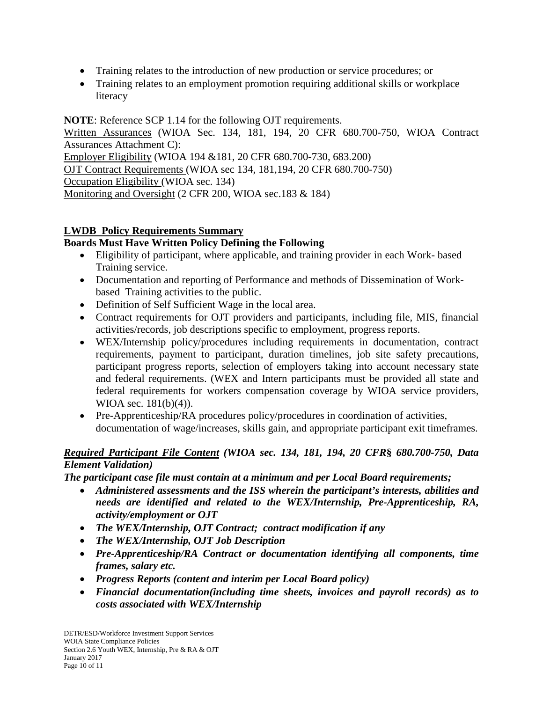- Training relates to the introduction of new production or service procedures; or
- Training relates to an employment promotion requiring additional skills or workplace literacy

**NOTE**: Reference SCP 1.14 for the following OJT requirements. Written Assurances (WIOA Sec. 134, 181, 194, 20 CFR 680.700-750, WIOA Contract Assurances Attachment C): Employer Eligibility (WIOA 194 &181, 20 CFR 680.700-730, 683.200) OJT Contract Requirements (WIOA sec 134, 181,194, 20 CFR 680.700-750) Occupation Eligibility (WIOA sec. 134) Monitoring and Oversight (2 CFR 200, WIOA sec.183 & 184)

## **LWDB Policy Requirements Summary**

## **Boards Must Have Written Policy Defining the Following**

- Eligibility of participant, where applicable, and training provider in each Work- based Training service.
- Documentation and reporting of Performance and methods of Dissemination of Workbased Training activities to the public.
- Definition of Self Sufficient Wage in the local area.
- Contract requirements for OJT providers and participants, including file, MIS, financial activities/records, job descriptions specific to employment, progress reports.
- WEX/Internship policy/procedures including requirements in documentation, contract requirements, payment to participant, duration timelines, job site safety precautions, participant progress reports, selection of employers taking into account necessary state and federal requirements. (WEX and Intern participants must be provided all state and federal requirements for workers compensation coverage by WIOA service providers, WIOA sec. 181(b)(4)).
- Pre-Apprenticeship/RA procedures policy/procedures in coordination of activities, documentation of wage/increases, skills gain, and appropriate participant exit timeframes.

## *Required Participant File Content (WIOA sec. 134, 181, 194, 20 CFR***§** *680.700-750, Data Element Validation)*

*The participant case file must contain at a minimum and per Local Board requirements;*

- *Administered assessments and the ISS wherein the participant's interests, abilities and needs are identified and related to the WEX/Internship, Pre-Apprenticeship, RA, activity/employment or OJT*
- *The WEX/Internship, OJT Contract; contract modification if any*
- *The WEX/Internship, OJT Job Description*
- *Pre-Apprenticeship/RA Contract or documentation identifying all components, time frames, salary etc.*
- *Progress Reports (content and interim per Local Board policy)*
- *Financial documentation(including time sheets, invoices and payroll records) as to costs associated with WEX/Internship*